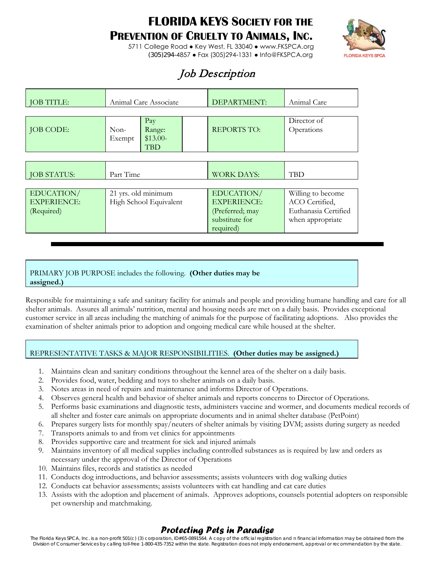# **FLORIDA KEYS SOCIETY FOR THE**

### **PREVENTION OF CRUELTY TO ANIMALS, INC.**



5711 College Road ● Key West, FL 33040 ● www.FKSPCA.org (305)294-4857 ● Fax (305)294-1331 ● Info@FKSPCA.org

# Job Description

| <b>JOB TITLE:</b>                              | Animal Care Associate                                        |  | DEPARTMENT:                                                                        | Animal Care                                                                     |
|------------------------------------------------|--------------------------------------------------------------|--|------------------------------------------------------------------------------------|---------------------------------------------------------------------------------|
| <b>JOB CODE:</b>                               | Pay<br>$Non-$<br>Range:<br>$$13.00-$<br>Exempt<br><b>TBD</b> |  | <b>REPORTS TO:</b>                                                                 | Director of<br>Operations                                                       |
| <b>JOB STATUS:</b>                             | Part Time                                                    |  | <b>WORK DAYS:</b>                                                                  | <b>TBD</b>                                                                      |
| EDUCATION/<br><b>EXPERIENCE:</b><br>(Required) | 21 yrs. old minimum<br>High School Equivalent                |  | EDUCATION/<br><b>EXPERIENCE:</b><br>(Preferred; may<br>substitute for<br>required) | Willing to become<br>ACO Certified,<br>Euthanasia Certified<br>when appropriate |

#### PRIMARY JOB PURPOSE includes the following. **(Other duties may be assigned.)**

Responsible for maintaining a safe and sanitary facility for animals and people and providing humane handling and care for all shelter animals. Assures all animals' nutrition, mental and housing needs are met on a daily basis. Provides exceptional customer service in all areas including the matching of animals for the purpose of facilitating adoptions. Also provides the examination of shelter animals prior to adoption and ongoing medical care while housed at the shelter.

#### REPRESENTATIVE TASKS & MAJOR RESPONSIBILITIES. **(Other duties may be assigned.)**

- 1. Maintains clean and sanitary conditions throughout the kennel area of the shelter on a daily basis.
- 2. Provides food, water, bedding and toys to shelter animals on a daily basis.
- 3. Notes areas in need of repairs and maintenance and informs Director of Operations.
- 4. Observes general health and behavior of shelter animals and reports concerns to Director of Operations.
- 5. Performs basic examinations and diagnostic tests, administers vaccine and wormer, and documents medical records of all shelter and foster care animals on appropriate documents and in animal shelter database (PetPoint)
- 6. Prepares surgery lists for monthly spay/neuters of shelter animals by visiting DVM; assists during surgery as needed
- 7. Transports animals to and from vet clinics for appointments
- 8. Provides supportive care and treatment for sick and injured animals
- 9. Maintains inventory of all medical supplies including controlled substances as is required by law and orders as necessary under the approval of the Director of Operations
- 10. Maintains files, records and statistics as needed
- 11. Conducts dog introductions, and behavior assessments; assists volunteers with dog walking duties
- 12. Conducts cat behavior assessments; assists volunteers with cat handling and cat care duties
- 13. Assists with the adoption and placement of animals. Approves adoptions, counsels potential adopters on responsible pet ownership and matchmaking.

### *Protecting Pets in Paradise*

The Florida Keys SPCA, Inc. is a non-profit 501(c) (3) corporation, ID#65-0891564. A copy of the official registration and n financial information may be obtained from the Division of Consumer Services by calling toll-free 1-800-435-7352 within the state. Registration does not imply endorsement, approval or recommendation by the state.